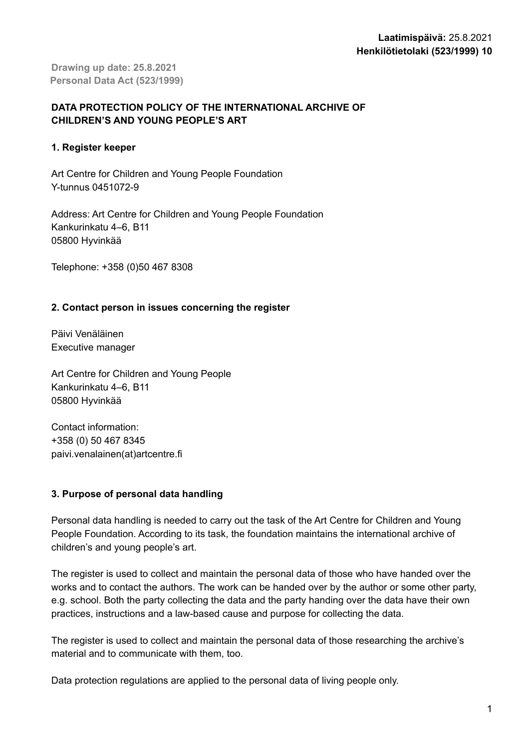**Drawing up date: 25.8.2021 Personal Data Act (523/1999)**

# **DATA PROTECTION POLICY OF THE INTERNATIONAL ARCHIVE OF CHILDREN'S AND YOUNG PEOPLE'S ART**

## **1. Register keeper**

Art Centre for Children and Young People Foundation Y-tunnus 0451072-9

Address: Art Centre for Children and Young People Foundation Kankurinkatu 4–6, B11 05800 Hyvinkää

Telephone: +358 (0)50 467 8308

# **2. Contact person in issues concerning the register**

Päivi Venäläinen Executive manager

Art Centre for Children and Young People Kankurinkatu 4–6, B11 05800 Hyvinkää

Contact information: +358 (0) 50 467 8345 paivi.venalainen(at)artcentre.fi

## **3. Purpose of personal data handling**

Personal data handling is needed to carry out the task of the Art Centre for Children and Young People Foundation. According to its task, the foundation maintains the international archive of children's and young people's art.

The register is used to collect and maintain the personal data of those who have handed over the works and to contact the authors. The work can be handed over by the author or some other party, e.g. school. Both the party collecting the data and the party handing over the data have their own practices, instructions and a law-based cause and purpose for collecting the data.

The register is used to collect and maintain the personal data of those researching the archive's material and to communicate with them, too.

Data protection regulations are applied to the personal data of living people only.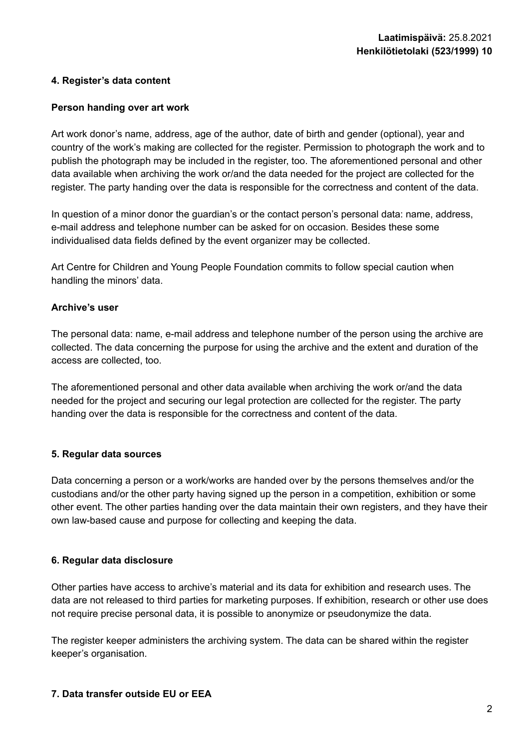### **4. Register's data content**

#### **Person handing over art work**

Art work donor's name, address, age of the author, date of birth and gender (optional), year and country of the work's making are collected for the register. Permission to photograph the work and to publish the photograph may be included in the register, too. The aforementioned personal and other data available when archiving the work or/and the data needed for the project are collected for the register. The party handing over the data is responsible for the correctness and content of the data.

In question of a minor donor the guardian's or the contact person's personal data: name, address, e-mail address and telephone number can be asked for on occasion. Besides these some individualised data fields defined by the event organizer may be collected.

Art Centre for Children and Young People Foundation commits to follow special caution when handling the minors' data.

### **Archive's user**

The personal data: name, e-mail address and telephone number of the person using the archive are collected. The data concerning the purpose for using the archive and the extent and duration of the access are collected, too.

The aforementioned personal and other data available when archiving the work or/and the data needed for the project and securing our legal protection are collected for the register. The party handing over the data is responsible for the correctness and content of the data.

#### **5. Regular data sources**

Data concerning a person or a work/works are handed over by the persons themselves and/or the custodians and/or the other party having signed up the person in a competition, exhibition or some other event. The other parties handing over the data maintain their own registers, and they have their own law-based cause and purpose for collecting and keeping the data.

#### **6. Regular data disclosure**

Other parties have access to archive's material and its data for exhibition and research uses. The data are not released to third parties for marketing purposes. If exhibition, research or other use does not require precise personal data, it is possible to anonymize or pseudonymize the data.

The register keeper administers the archiving system. The data can be shared within the register keeper's organisation.

#### **7. Data transfer outside EU or EEA**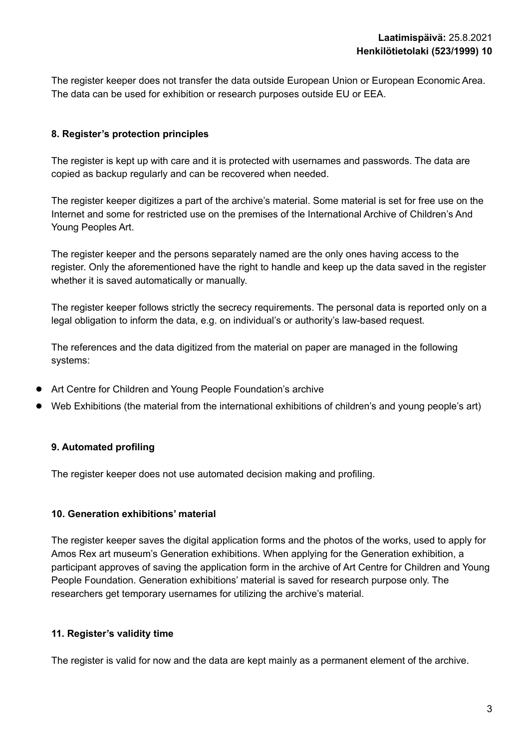The register keeper does not transfer the data outside European Union or European Economic Area. The data can be used for exhibition or research purposes outside EU or EEA.

## **8. Register's protection principles**

The register is kept up with care and it is protected with usernames and passwords. The data are copied as backup regularly and can be recovered when needed.

The register keeper digitizes a part of the archive's material. Some material is set for free use on the Internet and some for restricted use on the premises of the International Archive of Children's And Young Peoples Art.

The register keeper and the persons separately named are the only ones having access to the register. Only the aforementioned have the right to handle and keep up the data saved in the register whether it is saved automatically or manually.

The register keeper follows strictly the secrecy requirements. The personal data is reported only on a legal obligation to inform the data, e.g. on individual's or authority's law-based request.

The references and the data digitized from the material on paper are managed in the following systems:

- Art Centre for Children and Young People Foundation's archive
- Web Exhibitions (the material from the international exhibitions of children's and young people's art)

## **9. Automated profiling**

The register keeper does not use automated decision making and profiling.

#### **10. Generation exhibitions' material**

The register keeper saves the digital application forms and the photos of the works, used to apply for Amos Rex art museum's Generation exhibitions. When applying for the Generation exhibition, a participant approves of saving the application form in the archive of Art Centre for Children and Young People Foundation. Generation exhibitions' material is saved for research purpose only. The researchers get temporary usernames for utilizing the archive's material.

## **11. Register's validity time**

The register is valid for now and the data are kept mainly as a permanent element of the archive.